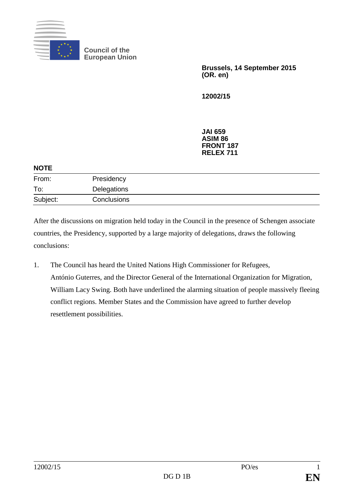

**Council of the European Union**

> **Brussels, 14 September 2015 (OR. en)**

**12002/15**

**JAI 659 ASIM 86 FRONT 187 RELEX 711**

| <b>NOTE</b> |             |  |
|-------------|-------------|--|
| From:       | Presidency  |  |
| To:         | Delegations |  |
| Subject:    | Conclusions |  |

After the discussions on migration held today in the Council in the presence of Schengen associate countries, the Presidency, supported by a large majority of delegations, draws the following conclusions:

1. The Council has heard the United Nations High Commissioner for Refugees, António Guterres, and the Director General of the International Organization for Migration, William Lacy Swing. Both have underlined the alarming situation of people massively fleeing conflict regions. Member States and the Commission have agreed to further develop resettlement possibilities.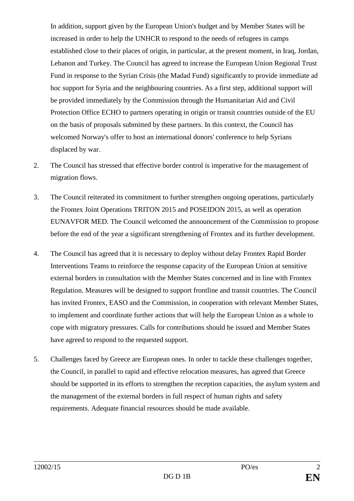In addition, support given by the European Union's budget and by Member States will be increased in order to help the UNHCR to respond to the needs of refugees in camps established close to their places of origin, in particular, at the present moment, in Iraq, Jordan, Lebanon and Turkey. The Council has agreed to increase the European Union Regional Trust Fund in response to the Syrian Crisis (the Madad Fund) significantly to provide immediate ad hoc support for Syria and the neighbouring countries. As a first step, additional support will be provided immediately by the Commission through the Humanitarian Aid and Civil Protection Office ECHO to partners operating in origin or transit countries outside of the EU on the basis of proposals submitted by these partners. In this context, the Council has welcomed Norway's offer to host an international donors' conference to help Syrians displaced by war.

- 2. The Council has stressed that effective border control is imperative for the management of migration flows.
- 3. The Council reiterated its commitment to further strengthen ongoing operations, particularly the Frontex Joint Operations TRITON 2015 and POSEIDON 2015, as well as operation EUNAVFOR MED. The Council welcomed the announcement of the Commission to propose before the end of the year a significant strengthening of Frontex and its further development.
- 4. The Council has agreed that it is necessary to deploy without delay Frontex Rapid Border Interventions Teams to reinforce the response capacity of the European Union at sensitive external borders in consultation with the Member States concerned and in line with Frontex Regulation. Measures will be designed to support frontline and transit countries. The Council has invited Frontex, EASO and the Commission, in cooperation with relevant Member States, to implement and coordinate further actions that will help the European Union as a whole to cope with migratory pressures. Calls for contributions should be issued and Member States have agreed to respond to the requested support.
- 5. Challenges faced by Greece are European ones. In order to tackle these challenges together, the Council, in parallel to rapid and effective relocation measures, has agreed that Greece should be supported in its efforts to strengthen the reception capacities, the asylum system and the management of the external borders in full respect of human rights and safety requirements. Adequate financial resources should be made available.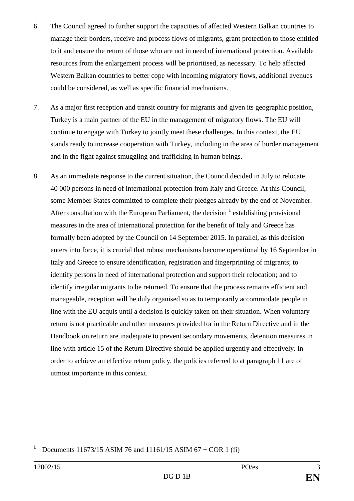- 6. The Council agreed to further support the capacities of affected Western Balkan countries to manage their borders, receive and process flows of migrants, grant protection to those entitled to it and ensure the return of those who are not in need of international protection. Available resources from the enlargement process will be prioritised, as necessary. To help affected Western Balkan countries to better cope with incoming migratory flows, additional avenues could be considered, as well as specific financial mechanisms.
- 7. As a major first reception and transit country for migrants and given its geographic position, Turkey is a main partner of the EU in the management of migratory flows. The EU will continue to engage with Turkey to jointly meet these challenges. In this context, the EU stands ready to increase cooperation with Turkey, including in the area of border management and in the fight against smuggling and trafficking in human beings.
- 8. As an immediate response to the current situation, the Council decided in July to relocate 40 000 persons in need of international protection from Italy and Greece. At this Council, some Member States committed to complete their pledges already by the end of November. After consultation with the European Parliament, the decision  $<sup>1</sup>$  establishing provisional</sup> measures in the area of international protection for the benefit of Italy and Greece has formally been adopted by the Council on 14 September 2015. In parallel, as this decision enters into force, it is crucial that robust mechanisms become operational by 16 September in Italy and Greece to ensure identification, registration and fingerprinting of migrants; to identify persons in need of international protection and support their relocation; and to identify irregular migrants to be returned. To ensure that the process remains efficient and manageable, reception will be duly organised so as to temporarily accommodate people in line with the EU acquis until a decision is quickly taken on their situation. When voluntary return is not practicable and other measures provided for in the Return Directive and in the Handbook on return are inadequate to prevent secondary movements, detention measures in line with article 15 of the Return Directive should be applied urgently and effectively. In order to achieve an effective return policy, the policies referred to at paragraph 11 are of utmost importance in this context.

<sup>1</sup> **<sup>1</sup>** Documents 11673/15 ASIM 76 and 11161/15 ASIM 67 + COR 1 (fi)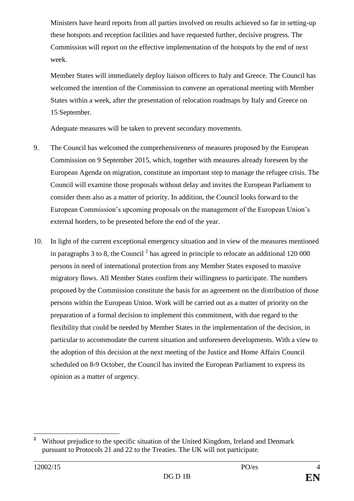Ministers have heard reports from all parties involved on results achieved so far in setting-up these hotspots and reception facilities and have requested further, decisive progress. The Commission will report on the effective implementation of the hotspots by the end of next week.

Member States will immediately deploy liaison officers to Italy and Greece. The Council has welcomed the intention of the Commission to convene an operational meeting with Member States within a week, after the presentation of relocation roadmaps by Italy and Greece on 15 September.

Adequate measures will be taken to prevent secondary movements.

- 9. The Council has welcomed the comprehensiveness of measures proposed by the European Commission on 9 September 2015, which, together with measures already foreseen by the European Agenda on migration, constitute an important step to manage the refugee crisis. The Council will examine those proposals without delay and invites the European Parliament to consider them also as a matter of priority. In addition, the Council looks forward to the European Commission's upcoming proposals on the management of the European Union's external borders, to be presented before the end of the year.
- 10. In light of the current exceptional emergency situation and in view of the measures mentioned in paragraphs 3 to 8, the Council<sup>2</sup> has agreed in principle to relocate an additional 120 000 persons in need of international protection from any Member States exposed to massive migratory flows. All Member States confirm their willingness to participate. The numbers proposed by the Commission constitute the basis for an agreement on the distribution of those persons within the European Union. Work will be carried out as a matter of priority on the preparation of a formal decision to implement this commitment, with due regard to the flexibility that could be needed by Member States in the implementation of the decision, in particular to accommodate the current situation and unforeseen developments. With a view to the adoption of this decision at the next meeting of the Justice and Home Affairs Council scheduled on 8-9 October, the Council has invited the European Parliament to express its opinion as a matter of urgency.

 $\overline{2}$ **<sup>2</sup>** Without prejudice to the specific situation of the United Kingdom, Ireland and Denmark pursuant to Protocols 21 and 22 to the Treaties. The UK will not participate.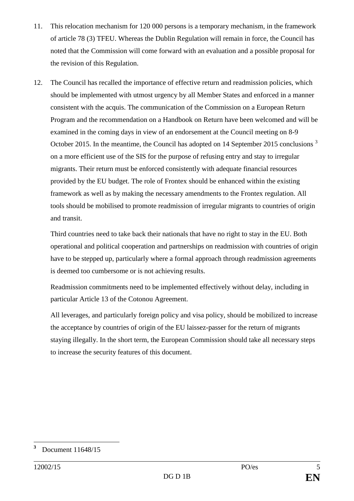- 11. This relocation mechanism for 120 000 persons is a temporary mechanism, in the framework of article 78 (3) TFEU. Whereas the Dublin Regulation will remain in force, the Council has noted that the Commission will come forward with an evaluation and a possible proposal for the revision of this Regulation.
- 12. The Council has recalled the importance of effective return and readmission policies, which should be implemented with utmost urgency by all Member States and enforced in a manner consistent with the acquis. The communication of the Commission on a European Return Program and the recommendation on a Handbook on Return have been welcomed and will be examined in the coming days in view of an endorsement at the Council meeting on 8-9 October 2015. In the meantime, the Council has adopted on 14 September 2015 conclusions<sup>3</sup> on a more efficient use of the SIS for the purpose of refusing entry and stay to irregular migrants. Their return must be enforced consistently with adequate financial resources provided by the EU budget. The role of Frontex should be enhanced within the existing framework as well as by making the necessary amendments to the Frontex regulation. All tools should be mobilised to promote readmission of irregular migrants to countries of origin and transit.

Third countries need to take back their nationals that have no right to stay in the EU. Both operational and political cooperation and partnerships on readmission with countries of origin have to be stepped up, particularly where a formal approach through readmission agreements is deemed too cumbersome or is not achieving results.

Readmission commitments need to be implemented effectively without delay, including in particular Article 13 of the Cotonou Agreement.

All leverages, and particularly foreign policy and visa policy, should be mobilized to increase the acceptance by countries of origin of the EU laissez-passer for the return of migrants staying illegally. In the short term, the European Commission should take all necessary steps to increase the security features of this document.

<sup>1</sup> **<sup>3</sup>** Document 11648/15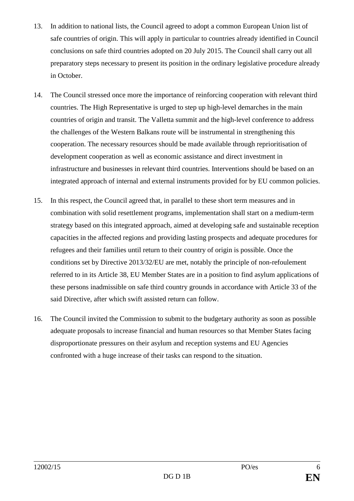- 13. In addition to national lists, the Council agreed to adopt a common European Union list of safe countries of origin. This will apply in particular to countries already identified in Council conclusions on safe third countries adopted on 20 July 2015. The Council shall carry out all preparatory steps necessary to present its position in the ordinary legislative procedure already in October.
- 14. The Council stressed once more the importance of reinforcing cooperation with relevant third countries. The High Representative is urged to step up high-level demarches in the main countries of origin and transit. The Valletta summit and the high-level conference to address the challenges of the Western Balkans route will be instrumental in strengthening this cooperation. The necessary resources should be made available through reprioritisation of development cooperation as well as economic assistance and direct investment in infrastructure and businesses in relevant third countries. Interventions should be based on an integrated approach of internal and external instruments provided for by EU common policies.
- 15. In this respect, the Council agreed that, in parallel to these short term measures and in combination with solid resettlement programs, implementation shall start on a medium-term strategy based on this integrated approach, aimed at developing safe and sustainable reception capacities in the affected regions and providing lasting prospects and adequate procedures for refugees and their families until return to their country of origin is possible. Once the conditions set by Directive 2013/32/EU are met, notably the principle of non-refoulement referred to in its Article 38, EU Member States are in a position to find asylum applications of these persons inadmissible on safe third country grounds in accordance with Article 33 of the said Directive, after which swift assisted return can follow.
- 16. The Council invited the Commission to submit to the budgetary authority as soon as possible adequate proposals to increase financial and human resources so that Member States facing disproportionate pressures on their asylum and reception systems and EU Agencies confronted with a huge increase of their tasks can respond to the situation.